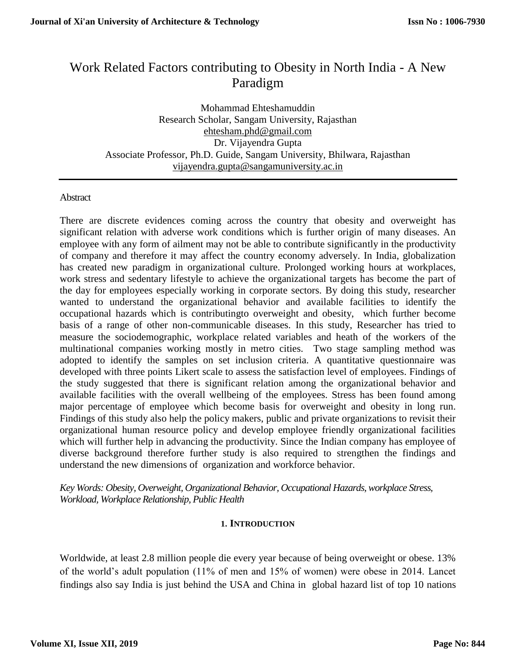# Work Related Factors contributing to Obesity in North India - A New Paradigm

Mohammad Ehteshamuddin Research Scholar, Sangam University, Rajasthan ehtesham.phd@gmail.com Dr. Vijayendra Gupta Associate Professor, Ph.D. Guide, Sangam University, Bhilwara, Rajasthan [vijayendra.gupta@sangamuniversity.ac.in](mailto:vijayendra.gupta@sangamuniversity.ac.in)

## **Abstract**

There are discrete evidences coming across the country that obesity and overweight has significant relation with adverse work conditions which is further origin of many diseases. An employee with any form of ailment may not be able to contribute significantly in the productivity of company and therefore it may affect the country economy adversely. In India, globalization has created new paradigm in organizational culture. Prolonged working hours at workplaces, work stress and sedentary lifestyle to achieve the organizational targets has become the part of the day for employees especially working in corporate sectors. By doing this study, researcher wanted to understand the organizational behavior and available facilities to identify the occupational hazards which is contributingto overweight and obesity, which further become basis of a range of other non-communicable diseases. In this study, Researcher has tried to measure the sociodemographic, workplace related variables and heath of the workers of the multinational companies working mostly in metro cities. Two stage sampling method was adopted to identify the samples on set inclusion criteria. A quantitative questionnaire was developed with three points Likert scale to assess the satisfaction level of employees. Findings of the study suggested that there is significant relation among the organizational behavior and available facilities with the overall wellbeing of the employees. Stress has been found among major percentage of employee which become basis for overweight and obesity in long run. Findings of this study also help the policy makers, public and private organizations to revisit their organizational human resource policy and develop employee friendly organizational facilities which will further help in advancing the productivity. Since the Indian company has employee of diverse background therefore further study is also required to strengthen the findings and understand the new dimensions of organization and workforce behavior.

*Key Words: Obesity, Overweight, Organizational Behavior, Occupational Hazards, workplace Stress, Workload, Workplace Relationship, Public Health*

## **1. INTRODUCTION**

Worldwide, at least 2.8 million people die every year because of being overweight or obese. 13% of the world's adult population (11% of men and 15% of women) were obese in 2014. Lancet findings also say India is just behind the USA and China in global hazard list of top 10 nations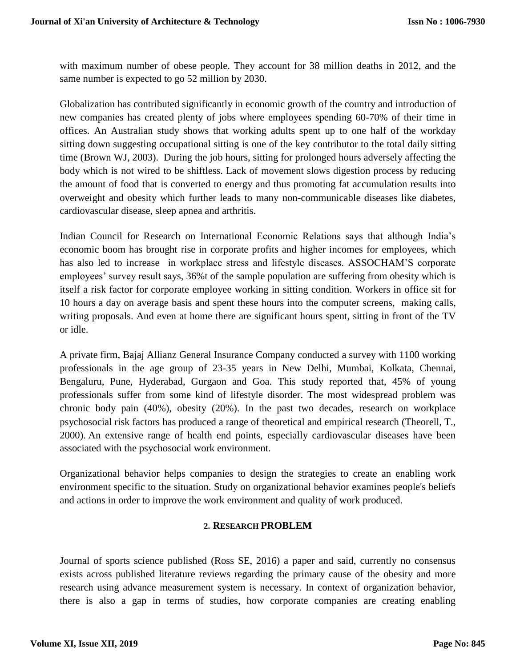with maximum number of obese people. They account for 38 million deaths in 2012, and the same number is expected to go 52 million by 2030.

Globalization has contributed significantly in economic growth of the country and introduction of new companies has created plenty of jobs where employees spending 60-70% of their time in offices. An Australian study shows that working adults spent up to one half of the workday sitting down suggesting occupational sitting is one of the key contributor to the total daily sitting time (Brown WJ, 2003). During the job hours, sitting for prolonged hours adversely affecting the body which is not wired to be shiftless. Lack of movement slows digestion process by reducing the amount of food that is converted to energy and thus promoting fat accumulation results into overweight and obesity which further leads to many non-communicable diseases like diabetes, cardiovascular disease, sleep apnea and arthritis.

Indian Council for Research on International Economic Relations says that although India's economic boom has brought rise in corporate profits and higher incomes for employees, which has also led to increase in workplace stress and lifestyle diseases. ASSOCHAM'S corporate employees' survey result says, 36%t of the sample population are suffering from obesity which is itself a risk factor for corporate employee working in sitting condition. Workers in office sit for 10 hours a day on average basis and spent these hours into the computer screens, making calls, writing proposals. And even at home there are significant hours spent, sitting in front of the TV or idle.

A private firm, Bajaj Allianz General Insurance Company conducted a survey with 1100 working professionals in the age group of 23-35 years in New Delhi, Mumbai, Kolkata, Chennai, Bengaluru, Pune, Hyderabad, Gurgaon and Goa. This study reported that, 45% of young professionals suffer from some kind of lifestyle disorder. The most widespread problem was chronic body pain (40%), obesity (20%). In the past two decades, research on workplace psychosocial risk factors has produced a range of theoretical and empirical research (Theorell, T., 2000). An extensive range of health end points, especially cardiovascular diseases have been associated with the psychosocial work environment.

Organizational behavior helps companies to design the strategies to create an enabling work environment specific to the situation. Study on organizational behavior examines people's beliefs and actions in order to improve the work environment and quality of work produced.

## **2. RESEARCH PROBLEM**

Journal of sports science published (Ross SE, 2016) a paper and said, currently no consensus exists across published literature reviews regarding the primary cause of the obesity and more research using advance measurement system is necessary. In context of organization behavior, there is also a gap in terms of studies, how corporate companies are creating enabling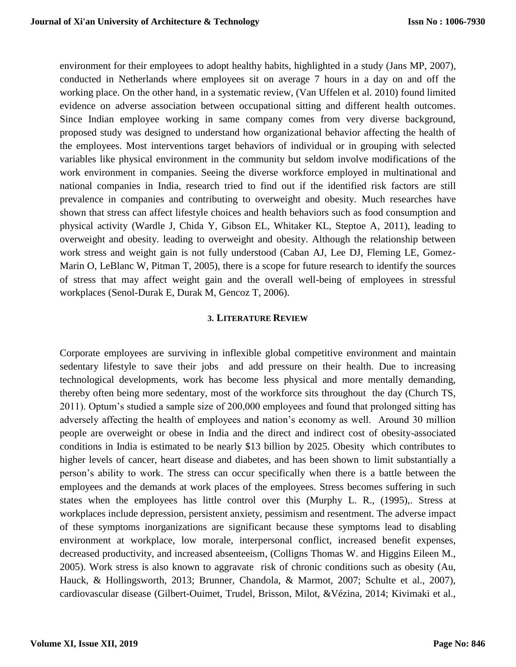environment for their employees to adopt healthy habits, highlighted in a study (Jans MP, 2007), conducted in Netherlands where employees sit on average 7 hours in a day on and off the working place. On the other hand, in a systematic review, (Van Uffelen et al. 2010) found limited evidence on adverse association between occupational sitting and different health outcomes. Since Indian employee working in same company comes from very diverse background, proposed study was designed to understand how organizational behavior affecting the health of the employees. Most interventions target behaviors of individual or in grouping with selected variables like physical environment in the community but seldom involve modifications of the work environment in companies. Seeing the diverse workforce employed in multinational and national companies in India, research tried to find out if the identified risk factors are still prevalence in companies and contributing to overweight and obesity. Much researches have shown that stress can affect lifestyle choices and health behaviors such as food consumption and physical activity (Wardle J, Chida Y, Gibson EL, Whitaker KL, Steptoe A, 2011), leading to overweight and obesity. leading to overweight and obesity. Although the relationship between work stress and weight gain is not fully understood (Caban AJ, Lee DJ, Fleming LE, Gomez-Marin O, LeBlanc W, Pitman T, 2005), there is a scope for future research to identify the sources of stress that may affect weight gain and the overall well-being of employees in stressful workplaces (Senol-Durak E, Durak M, Gencoz T, 2006).

#### **3. LITERATURE REVIEW**

Corporate employees are surviving in inflexible global competitive environment and maintain sedentary lifestyle to save their jobs and add pressure on their health. Due to increasing technological developments, work has become less physical and more mentally demanding, thereby often being more sedentary, most of the workforce sits throughout the day (Church TS, 2011). Optum's studied a sample size of 200,000 employees and found that prolonged sitting has adversely affecting the health of employees and nation's economy as well. Around 30 million people are overweight or obese in India and the direct and indirect cost of obesity-associated conditions in India is estimated to be nearly \$13 billion by 2025. Obesity which contributes to higher levels of cancer, heart disease and diabetes, and has been shown to limit substantially a person's ability to work. The stress can occur specifically when there is a battle between the employees and the demands at work places of the employees. Stress becomes suffering in such states when the employees has little control over this (Murphy L. R., (1995),. Stress at workplaces include depression, persistent anxiety, pessimism and resentment. The adverse impact of these symptoms inorganizations are significant because these symptoms lead to disabling environment at workplace, low morale, interpersonal conflict, increased benefit expenses, decreased productivity, and increased absenteeism, (Colligns Thomas W. and Higgins Eileen M., 2005). Work stress is also known to aggravate risk of chronic conditions such as obesity (Au, Hauck, & Hollingsworth, 2013; Brunner, Chandola, & Marmot, 2007; Schulte et al., 2007), cardiovascular disease (Gilbert-Ouimet, Trudel, Brisson, Milot, &Vézina, 2014; Kivimaki et al.,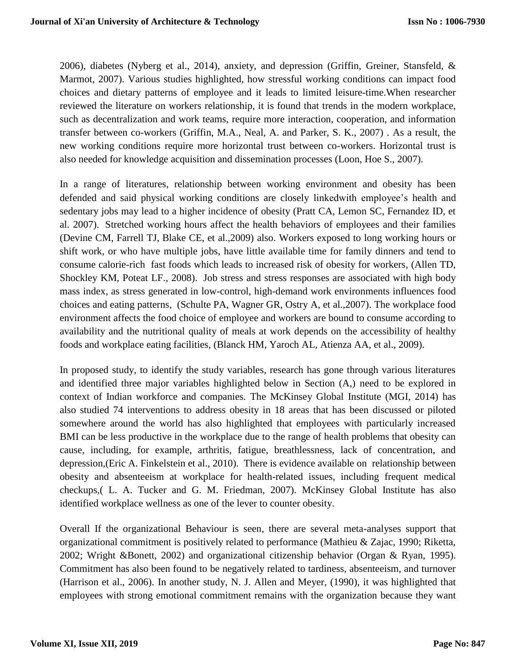2006), diabetes (Nyberg et al., 2014), anxiety, and depression (Griffin, Greiner, Stansfeld, & Marmot, 2007). Various studies highlighted, how stressful working conditions can impact food choices and dietary patterns of employee and it leads to limited leisure-time.When researcher reviewed the literature on workers relationship, it is found that trends in the modern workplace, such as decentralization and work teams, require more interaction, cooperation, and information transfer between co-workers (Griffin, M.A., Neal, A. and Parker, S. K., 2007) . As a result, the new working conditions require more horizontal trust between co-workers. Horizontal trust is also needed for knowledge acquisition and dissemination processes (Loon, Hoe S., 2007).

In a range of literatures, relationship between working environment and obesity has been defended and said physical working conditions are closely linkedwith employee's health and sedentary jobs may lead to a higher incidence of obesity (Pratt CA, Lemon SC, Fernandez ID, et al. 2007). Stretched working hours affect the health behaviors of employees and their families (Devine CM, Farrell TJ, Blake CE, et al.,2009) also. Workers exposed to long working hours or shift work, or who have multiple jobs, have little available time for family dinners and tend to consume calorie-rich fast foods which leads to increased risk of obesity for workers, (Allen TD, Shockley KM, Poteat LF., 2008). Job stress and stress responses are associated with high body mass index, as stress generated in low-control, high-demand work environments influences food choices and eating patterns, (Schulte PA, Wagner GR, Ostry A, et al.,2007). The workplace food environment affects the food choice of employee and workers are bound to consume according to availability and the nutritional quality of meals at work depends on the accessibility of healthy foods and workplace eating facilities, (Blanck HM, Yaroch AL, Atienza AA, et al., 2009).

In proposed study, to identify the study variables, research has gone through various literatures and identified three major variables highlighted below in Section (A,) need to be explored in context of Indian workforce and companies. The McKinsey Global Institute (MGI, 2014) has also studied 74 interventions to address obesity in 18 areas that has been discussed or piloted somewhere around the world has also highlighted that employees with particularly increased BMI can be less productive in the workplace due to the range of health problems that obesity can cause, including, for example, arthritis, fatigue, breathlessness, lack of concentration, and depression,(Eric A. Finkelstein et al., 2010). There is evidence available on relationship between obesity and absenteeism at workplace for health-related issues, including frequent medical checkups,( L. A. Tucker and G. M. Friedman, 2007). McKinsey Global Institute has also identified workplace wellness as one of the lever to counter obesity.

Overall If the organizational Behaviour is seen, there are several meta-analyses support that organizational commitment is positively related to performance (Mathieu & Zajac, 1990; Riketta, 2002; Wright &Bonett, 2002) and organizational citizenship behavior (Organ & Ryan, 1995). Commitment has also been found to be negatively related to tardiness, absenteeism, and turnover (Harrison et al., 2006). In another study, N. J. Allen and Meyer, (1990), it was highlighted that employees with strong emotional commitment remains with the organization because they want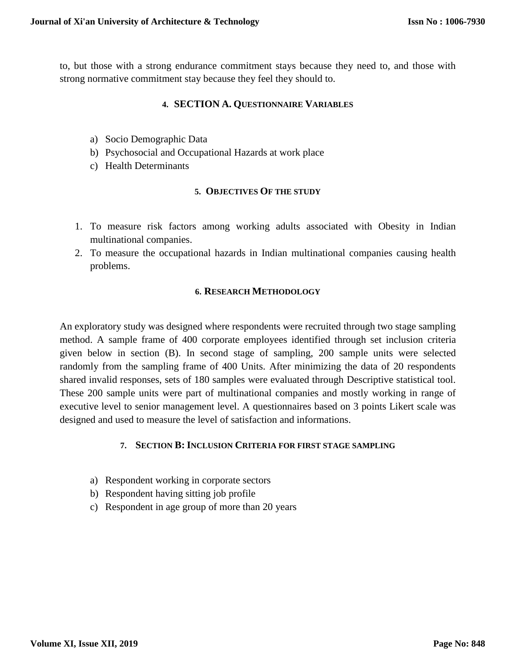to, but those with a strong endurance commitment stays because they need to, and those with strong normative commitment stay because they feel they should to.

## **4. SECTION A. QUESTIONNAIRE VARIABLES**

- a) Socio Demographic Data
- b) Psychosocial and Occupational Hazards at work place
- c) Health Determinants

## **5. OBJECTIVES OF THE STUDY**

- 1. To measure risk factors among working adults associated with Obesity in Indian multinational companies.
- 2. To measure the occupational hazards in Indian multinational companies causing health problems.

## **6. RESEARCH METHODOLOGY**

An exploratory study was designed where respondents were recruited through two stage sampling method. A sample frame of 400 corporate employees identified through set inclusion criteria given below in section (B). In second stage of sampling, 200 sample units were selected randomly from the sampling frame of 400 Units. After minimizing the data of 20 respondents shared invalid responses, sets of 180 samples were evaluated through Descriptive statistical tool. These 200 sample units were part of multinational companies and mostly working in range of executive level to senior management level. A questionnaires based on 3 points Likert scale was designed and used to measure the level of satisfaction and informations.

## **7. SECTION B: INCLUSION CRITERIA FOR FIRST STAGE SAMPLING**

- a) Respondent working in corporate sectors
- b) Respondent having sitting job profile
- c) Respondent in age group of more than 20 years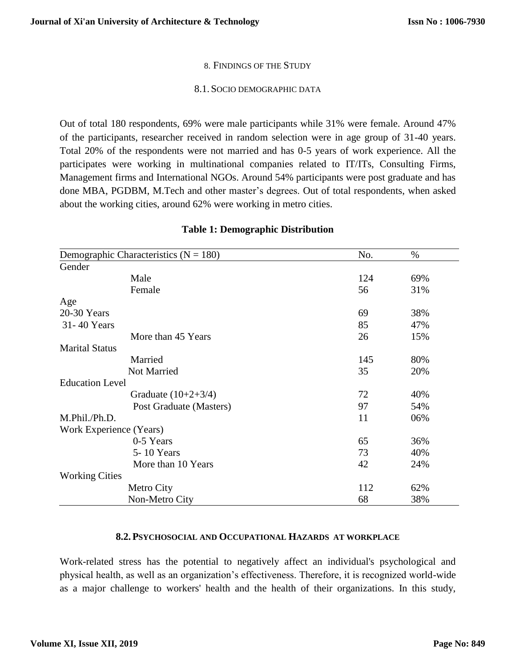#### 8. FINDINGS OF THE STUDY

#### 8.1. SOCIO DEMOGRAPHIC DATA

Out of total 180 respondents, 69% were male participants while 31% were female. Around 47% of the participants, researcher received in random selection were in age group of 31-40 years. Total 20% of the respondents were not married and has 0-5 years of work experience. All the participates were working in multinational companies related to IT/ITs, Consulting Firms, Management firms and International NGOs. Around 54% participants were post graduate and has done MBA, PGDBM, M.Tech and other master's degrees. Out of total respondents, when asked about the working cities, around 62% were working in metro cities.

| Demographic Characteristics ( $N = 180$ ) | No. | $\%$ |
|-------------------------------------------|-----|------|
| Gender                                    |     |      |
| Male                                      | 124 | 69%  |
| Female                                    | 56  | 31%  |
| Age                                       |     |      |
| 20-30 Years                               | 69  | 38%  |
| 31-40 Years                               | 85  | 47%  |
| More than 45 Years                        | 26  | 15%  |
| <b>Marital Status</b>                     |     |      |
| Married                                   | 145 | 80%  |
| Not Married                               | 35  | 20%  |
| <b>Education Level</b>                    |     |      |
| Graduate $(10+2+3/4)$                     | 72  | 40%  |
| Post Graduate (Masters)                   | 97  | 54%  |
| M.Phil./Ph.D.                             | 11  | 06%  |
| Work Experience (Years)                   |     |      |
| 0-5 Years                                 | 65  | 36%  |
| 5-10 Years                                | 73  | 40%  |
| More than 10 Years                        | 42  | 24%  |
| <b>Working Cities</b>                     |     |      |
| Metro City                                | 112 | 62%  |
| Non-Metro City                            | 68  | 38%  |

#### **Table 1: Demographic Distribution**

#### **8.2.PSYCHOSOCIAL AND OCCUPATIONAL HAZARDS AT WORKPLACE**

Work-related stress has the potential to negatively affect an individual's psychological and physical health, as well as an organization's effectiveness. Therefore, it is recognized world-wide as a major challenge to workers' health and the health of their organizations. In this study,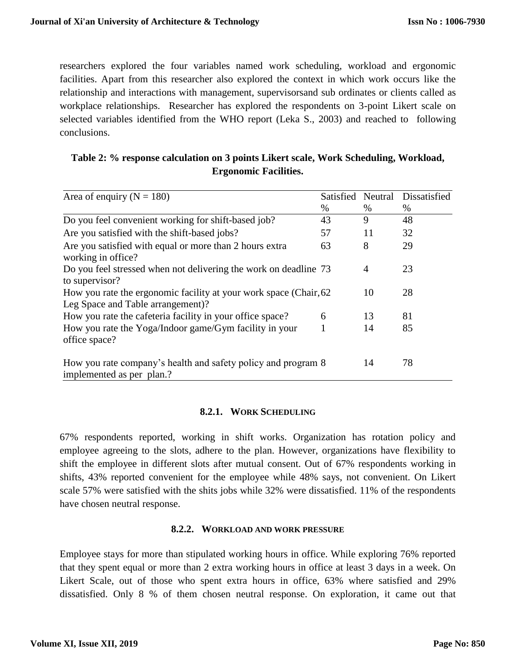researchers explored the four variables named work scheduling, workload and ergonomic facilities. Apart from this researcher also explored the context in which work occurs like the relationship and interactions with management, supervisorsand sub ordinates or clients called as workplace relationships. Researcher has explored the respondents on 3-point Likert scale on selected variables identified from the WHO report (Leka S., 2003) and reached to following conclusions.

| Table 2: % response calculation on 3 points Likert scale, Work Scheduling, Workload, |                              |  |
|--------------------------------------------------------------------------------------|------------------------------|--|
|                                                                                      | <b>Ergonomic Facilities.</b> |  |

| Area of enquiry ( $N = 180$ )                                                                           | Satisfied | Neutral | Dissatisfied |
|---------------------------------------------------------------------------------------------------------|-----------|---------|--------------|
|                                                                                                         | $\%$      | $\%$    | $\%$         |
| Do you feel convenient working for shift-based job?                                                     | 43        | 9       | 48           |
| Are you satisfied with the shift-based jobs?                                                            | 57        | 11      | 32           |
| Are you satisfied with equal or more than 2 hours extra<br>working in office?                           | 63        | 8       | 29           |
| Do you feel stressed when not delivering the work on deadline 73<br>to supervisor?                      |           | 4       | 23           |
| How you rate the ergonomic facility at your work space (Chair, 62)<br>Leg Space and Table arrangement)? |           | 10      | 28           |
| How you rate the cafeteria facility in your office space?                                               | 6         | 13      | 81           |
| How you rate the Yoga/Indoor game/Gym facility in your<br>office space?                                 |           | 14      | 85           |
| How you rate company's health and safety policy and program 8<br>implemented as per plan.?              |           | 14      | 78           |

#### **8.2.1. WORK SCHEDULING**

67% respondents reported, working in shift works. Organization has rotation policy and employee agreeing to the slots, adhere to the plan. However, organizations have flexibility to shift the employee in different slots after mutual consent. Out of 67% respondents working in shifts, 43% reported convenient for the employee while 48% says, not convenient. On Likert scale 57% were satisfied with the shits jobs while 32% were dissatisfied. 11% of the respondents have chosen neutral response.

#### **8.2.2. WORKLOAD AND WORK PRESSURE**

Employee stays for more than stipulated working hours in office. While exploring 76% reported that they spent equal or more than 2 extra working hours in office at least 3 days in a week. On Likert Scale, out of those who spent extra hours in office, 63% where satisfied and 29% dissatisfied. Only 8 % of them chosen neutral response. On exploration, it came out that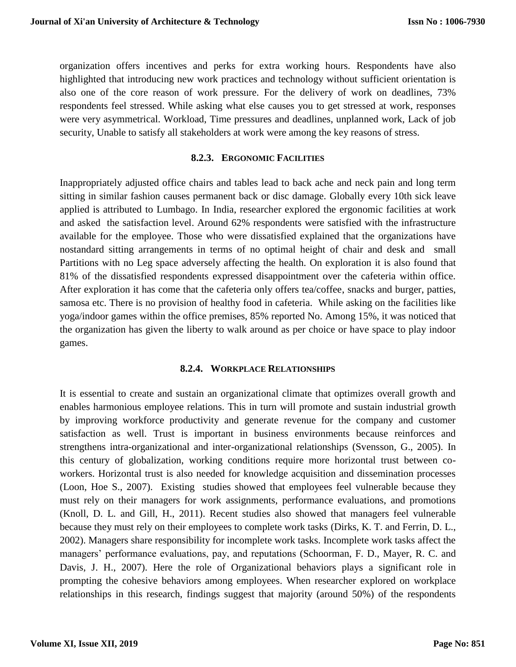organization offers incentives and perks for extra working hours. Respondents have also highlighted that introducing new work practices and technology without sufficient orientation is also one of the core reason of work pressure. For the delivery of work on deadlines, 73% respondents feel stressed. While asking what else causes you to get stressed at work, responses were very asymmetrical. Workload, Time pressures and deadlines, unplanned work, Lack of job security, Unable to satisfy all stakeholders at work were among the key reasons of stress.

## **8.2.3. ERGONOMIC FACILITIES**

Inappropriately adjusted office chairs and tables lead to back ache and neck pain and long term sitting in similar fashion causes permanent back or disc damage. Globally every 10th sick leave applied is attributed to Lumbago. In India, researcher explored the ergonomic facilities at work and asked the satisfaction level. Around 62% respondents were satisfied with the infrastructure available for the employee. Those who were dissatisfied explained that the organizations have nostandard sitting arrangements in terms of no optimal height of chair and desk and small Partitions with no Leg space adversely affecting the health. On exploration it is also found that 81% of the dissatisfied respondents expressed disappointment over the cafeteria within office. After exploration it has come that the cafeteria only offers tea/coffee, snacks and burger, patties, samosa etc. There is no provision of healthy food in cafeteria. While asking on the facilities like yoga/indoor games within the office premises, 85% reported No. Among 15%, it was noticed that the organization has given the liberty to walk around as per choice or have space to play indoor games.

## **8.2.4. WORKPLACE RELATIONSHIPS**

It is essential to create and sustain an organizational climate that optimizes overall growth and enables harmonious employee relations. This in turn will promote and sustain industrial growth by improving workforce productivity and generate revenue for the company and customer satisfaction as well. Trust is important in business environments because reinforces and strengthens intra-organizational and inter-organizational relationships (Svensson, G., 2005). In this century of globalization, working conditions require more horizontal trust between coworkers. Horizontal trust is also needed for knowledge acquisition and dissemination processes (Loon, Hoe S., 2007). Existing studies showed that employees feel vulnerable because they must rely on their managers for work assignments, performance evaluations, and promotions (Knoll, D. L. and Gill, H., 2011). Recent studies also showed that managers feel vulnerable because they must rely on their employees to complete work tasks (Dirks, K. T. and Ferrin, D. L., 2002). Managers share responsibility for incomplete work tasks. Incomplete work tasks affect the managers' performance evaluations, pay, and reputations (Schoorman, F. D., Mayer, R. C. and Davis, J. H., 2007). Here the role of Organizational behaviors plays a significant role in prompting the cohesive behaviors among employees. When researcher explored on workplace relationships in this research, findings suggest that majority (around 50%) of the respondents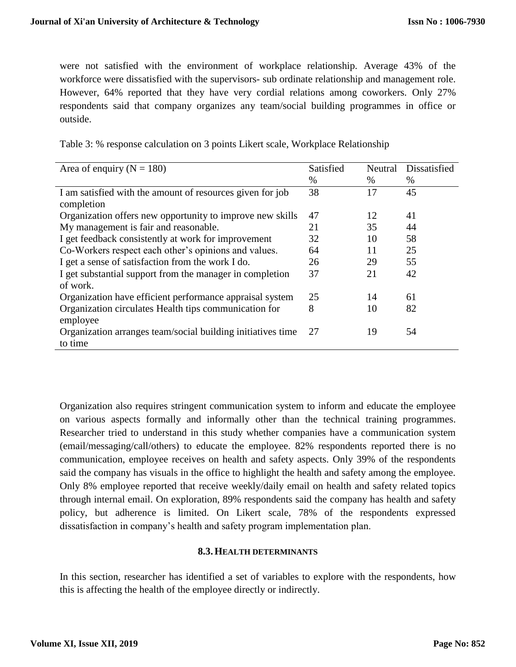were not satisfied with the environment of workplace relationship. Average 43% of the workforce were dissatisfied with the supervisors- sub ordinate relationship and management role. However, 64% reported that they have very cordial relations among coworkers. Only 27% respondents said that company organizes any team/social building programmes in office or outside.

| Table 3: % response calculation on 3 points Likert scale, Workplace Relationship |  |  |  |  |  |
|----------------------------------------------------------------------------------|--|--|--|--|--|
|                                                                                  |  |  |  |  |  |

| Area of enquiry ( $N = 180$ )                               | Satisfied | Neutral | Dissatisfied |
|-------------------------------------------------------------|-----------|---------|--------------|
|                                                             | %         | $\%$    | $\%$         |
| I am satisfied with the amount of resources given for job   | 38        | 17      | 45           |
| completion                                                  |           |         |              |
| Organization offers new opportunity to improve new skills   | 47        | 12      | 41           |
| My management is fair and reasonable.                       | 21        | 35      | 44           |
| I get feedback consistently at work for improvement         | 32        | 10      | 58           |
| Co-Workers respect each other's opinions and values.        | 64        | 11      | 25           |
| I get a sense of satisfaction from the work I do.           | 26        | 29      | 55           |
| I get substantial support from the manager in completion    | 37        | 21      | 42           |
| of work.                                                    |           |         |              |
| Organization have efficient performance appraisal system    | 25        | 14      | 61           |
| Organization circulates Health tips communication for       | 8         | 10      | 82           |
| employee                                                    |           |         |              |
| Organization arranges team/social building initiatives time | 27        | 19      | 54           |
| to time                                                     |           |         |              |

Organization also requires stringent communication system to inform and educate the employee on various aspects formally and informally other than the technical training programmes. Researcher tried to understand in this study whether companies have a communication system (email/messaging/call/others) to educate the employee. 82% respondents reported there is no communication, employee receives on health and safety aspects. Only 39% of the respondents said the company has visuals in the office to highlight the health and safety among the employee. Only 8% employee reported that receive weekly/daily email on health and safety related topics through internal email. On exploration, 89% respondents said the company has health and safety policy, but adherence is limited. On Likert scale, 78% of the respondents expressed dissatisfaction in company's health and safety program implementation plan.

## **8.3.HEALTH DETERMINANTS**

In this section, researcher has identified a set of variables to explore with the respondents, how this is affecting the health of the employee directly or indirectly.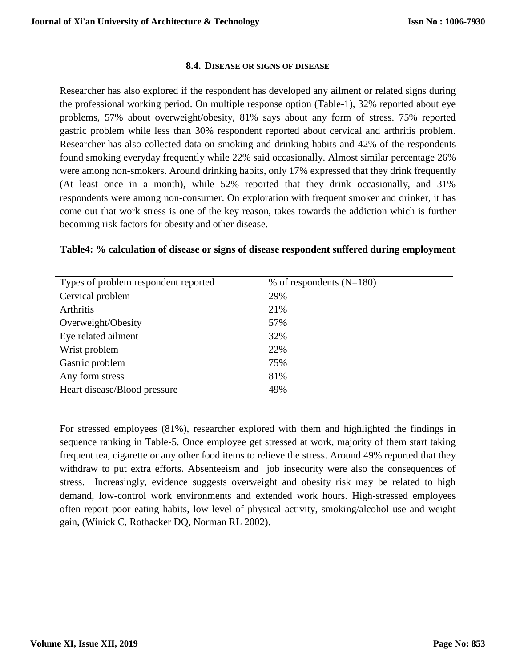#### **8.4. DISEASE OR SIGNS OF DISEASE**

Researcher has also explored if the respondent has developed any ailment or related signs during the professional working period. On multiple response option (Table-1), 32% reported about eye problems, 57% about overweight/obesity, 81% says about any form of stress. 75% reported gastric problem while less than 30% respondent reported about cervical and arthritis problem. Researcher has also collected data on smoking and drinking habits and 42% of the respondents found smoking everyday frequently while 22% said occasionally. Almost similar percentage 26% were among non-smokers. Around drinking habits, only 17% expressed that they drink frequently (At least once in a month), while 52% reported that they drink occasionally, and 31% respondents were among non-consumer. On exploration with frequent smoker and drinker, it has come out that work stress is one of the key reason, takes towards the addiction which is further becoming risk factors for obesity and other disease.

| Types of problem respondent reported | % of respondents $(N=180)$ |
|--------------------------------------|----------------------------|
| Cervical problem                     | 29%                        |
| <b>Arthritis</b>                     | 21%                        |
| Overweight/Obesity                   | 57%                        |
| Eye related ailment                  | 32%                        |
| Wrist problem                        | 22%                        |
| Gastric problem                      | 75%                        |
| Any form stress                      | 81%                        |
| Heart disease/Blood pressure         | 49%                        |

## **Table4: % calculation of disease or signs of disease respondent suffered during employment**

For stressed employees (81%), researcher explored with them and highlighted the findings in sequence ranking in Table-5. Once employee get stressed at work, majority of them start taking frequent tea, cigarette or any other food items to relieve the stress. Around 49% reported that they withdraw to put extra efforts. Absenteeism and job insecurity were also the consequences of stress. Increasingly, evidence suggests overweight and obesity risk may be related to high demand, low-control work environments and extended work hours. High-stressed employees often report poor eating habits, low level of physical activity, smoking/alcohol use and weight gain, (Winick C, Rothacker DQ, Norman RL 2002).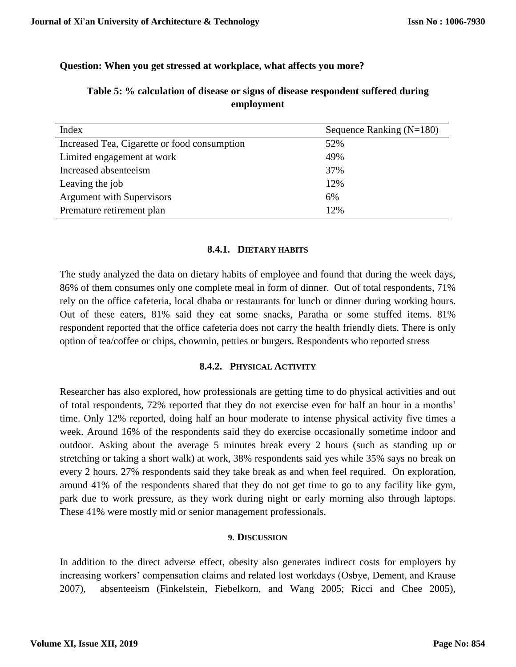## **Question: When you get stressed at workplace, what affects you more?**

| Index                                        | Sequence Ranking $(N=180)$ |
|----------------------------------------------|----------------------------|
| Increased Tea, Cigarette or food consumption | 52%                        |
| Limited engagement at work                   | 49%                        |
| Increased absenteeism                        | 37%                        |
| Leaving the job                              | 12%                        |
| <b>Argument with Supervisors</b>             | 6%                         |
| Premature retirement plan                    | 12%                        |

## **Table 5: % calculation of disease or signs of disease respondent suffered during employment**

#### **8.4.1. DIETARY HABITS**

The study analyzed the data on dietary habits of employee and found that during the week days, 86% of them consumes only one complete meal in form of dinner. Out of total respondents, 71% rely on the office cafeteria, local dhaba or restaurants for lunch or dinner during working hours. Out of these eaters, 81% said they eat some snacks, Paratha or some stuffed items. 81% respondent reported that the office cafeteria does not carry the health friendly diets. There is only option of tea/coffee or chips, chowmin, petties or burgers. Respondents who reported stress

## **8.4.2. PHYSICAL ACTIVITY**

Researcher has also explored, how professionals are getting time to do physical activities and out of total respondents, 72% reported that they do not exercise even for half an hour in a months' time. Only 12% reported, doing half an hour moderate to intense physical activity five times a week. Around 16% of the respondents said they do exercise occasionally sometime indoor and outdoor. Asking about the average 5 minutes break every 2 hours (such as standing up or stretching or taking a short walk) at work, 38% respondents said yes while 35% says no break on every 2 hours. 27% respondents said they take break as and when feel required. On exploration, around 41% of the respondents shared that they do not get time to go to any facility like gym, park due to work pressure, as they work during night or early morning also through laptops. These 41% were mostly mid or senior management professionals.

## **9. DISCUSSION**

In addition to the direct adverse effect, obesity also generates indirect costs for employers by increasing workers' compensation claims and related lost workdays (Osbye, Dement, and Krause 2007), absenteeism (Finkelstein, Fiebelkorn, and Wang 2005; Ricci and Chee 2005),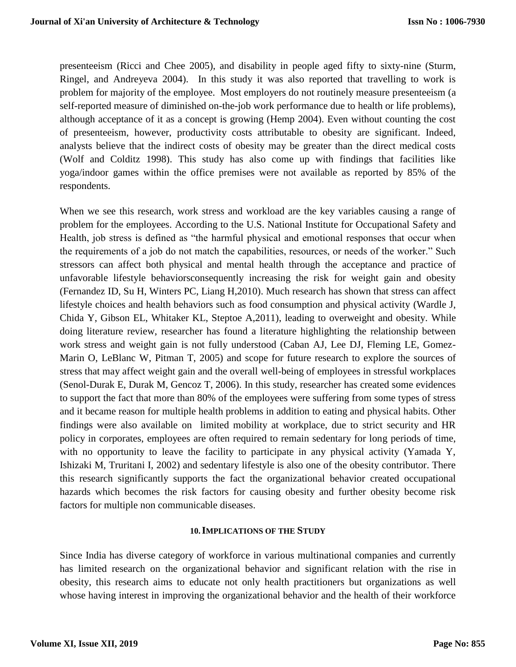presenteeism (Ricci and Chee 2005), and disability in people aged fifty to sixty-nine (Sturm, Ringel, and Andreyeva 2004). In this study it was also reported that travelling to work is problem for majority of the employee. Most employers do not routinely measure presenteeism (a self-reported measure of diminished on-the-job work performance due to health or life problems), although acceptance of it as a concept is growing (Hemp 2004). Even without counting the cost of presenteeism, however, productivity costs attributable to obesity are significant. Indeed, analysts believe that the indirect costs of obesity may be greater than the direct medical costs (Wolf and Colditz 1998). This study has also come up with findings that facilities like yoga/indoor games within the office premises were not available as reported by 85% of the respondents.

When we see this research, work stress and workload are the key variables causing a range of problem for the employees. According to the U.S. National Institute for Occupational Safety and Health, job stress is defined as "the harmful physical and emotional responses that occur when the requirements of a job do not match the capabilities, resources, or needs of the worker." Such stressors can affect both physical and mental health through the acceptance and practice of unfavorable lifestyle behaviorsconsequently increasing the risk for weight gain and obesity (Fernandez ID, Su H, Winters PC, Liang H,2010). Much research has shown that stress can affect lifestyle choices and health behaviors such as food consumption and physical activity (Wardle J, Chida Y, Gibson EL, Whitaker KL, Steptoe A,2011), leading to overweight and obesity. While doing literature review, researcher has found a literature highlighting the relationship between work stress and weight gain is not fully understood (Caban AJ, Lee DJ, Fleming LE, Gomez-Marin O, LeBlanc W, Pitman T, 2005) and scope for future research to explore the sources of stress that may affect weight gain and the overall well-being of employees in stressful workplaces (Senol-Durak E, Durak M, Gencoz T, 2006). In this study, researcher has created some evidences to support the fact that more than 80% of the employees were suffering from some types of stress and it became reason for multiple health problems in addition to eating and physical habits. Other findings were also available on limited mobility at workplace, due to strict security and HR policy in corporates, employees are often required to remain sedentary for long periods of time, with no opportunity to leave the facility to participate in any physical activity (Yamada Y, Ishizaki M, Truritani I, 2002) and sedentary lifestyle is also one of the obesity contributor. There this research significantly supports the fact the organizational behavior created occupational hazards which becomes the risk factors for causing obesity and further obesity become risk factors for multiple non communicable diseases.

#### **10.IMPLICATIONS OF THE STUDY**

Since India has diverse category of workforce in various multinational companies and currently has limited research on the organizational behavior and significant relation with the rise in obesity, this research aims to educate not only health practitioners but organizations as well whose having interest in improving the organizational behavior and the health of their workforce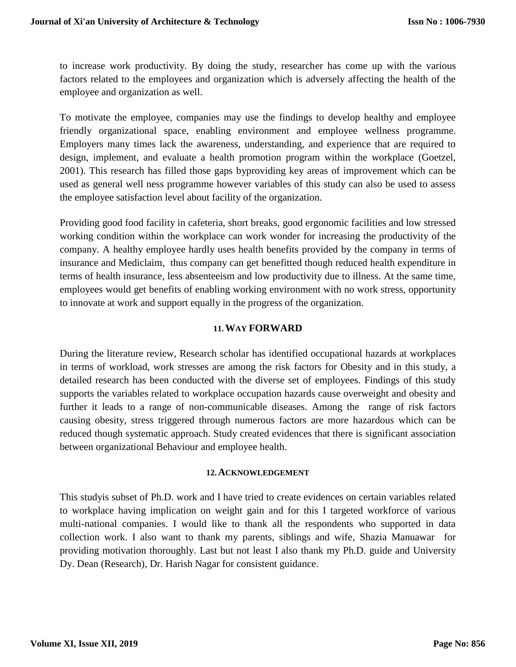to increase work productivity. By doing the study, researcher has come up with the various factors related to the employees and organization which is adversely affecting the health of the employee and organization as well.

To motivate the employee, companies may use the findings to develop healthy and employee friendly organizational space, enabling environment and employee wellness programme. Employers many times lack the awareness, understanding, and experience that are required to design, implement, and evaluate a health promotion program within the workplace (Goetzel, 2001). This research has filled those gaps byproviding key areas of improvement which can be used as general well ness programme however variables of this study can also be used to assess the employee satisfaction level about facility of the organization.

Providing good food facility in cafeteria, short breaks, good ergonomic facilities and low stressed working condition within the workplace can work wonder for increasing the productivity of the company. A healthy employee hardly uses health benefits provided by the company in terms of insurance and Mediclaim, thus company can get benefitted though reduced health expenditure in terms of health insurance, less absenteeism and low productivity due to illness. At the same time, employees would get benefits of enabling working environment with no work stress, opportunity to innovate at work and support equally in the progress of the organization.

## **11.WAY FORWARD**

During the literature review, Research scholar has identified occupational hazards at workplaces in terms of workload, work stresses are among the risk factors for Obesity and in this study, a detailed research has been conducted with the diverse set of employees. Findings of this study supports the variables related to workplace occupation hazards cause overweight and obesity and further it leads to a range of non-communicable diseases. Among the range of risk factors causing obesity, stress triggered through numerous factors are more hazardous which can be reduced though systematic approach. Study created evidences that there is significant association between organizational Behaviour and employee health.

#### **12.ACKNOWLEDGEMENT**

This studyis subset of Ph.D. work and I have tried to create evidences on certain variables related to workplace having implication on weight gain and for this I targeted workforce of various multi-national companies. I would like to thank all the respondents who supported in data collection work. I also want to thank my parents, siblings and wife, Shazia Manuawar for providing motivation thoroughly. Last but not least I also thank my Ph.D. guide and University Dy. Dean (Research), Dr. Harish Nagar for consistent guidance.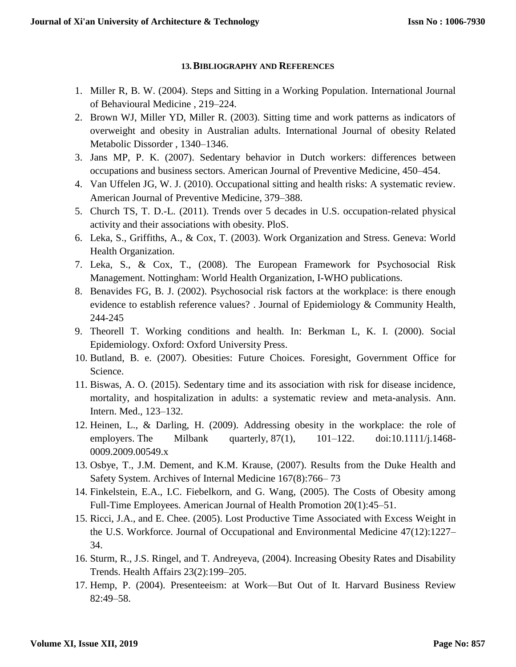#### **13.BIBLIOGRAPHY AND REFERENCES**

- 1. Miller R, B. W. (2004). Steps and Sitting in a Working Population. International Journal of Behavioural Medicine , 219–224.
- 2. Brown WJ, Miller YD, Miller R. (2003). Sitting time and work patterns as indicators of overweight and obesity in Australian adults. International Journal of obesity Related Metabolic Dissorder , 1340–1346.
- 3. Jans MP, P. K. (2007). Sedentary behavior in Dutch workers: differences between occupations and business sectors. American Journal of Preventive Medicine, 450–454.
- 4. Van Uffelen JG, W. J. (2010). Occupational sitting and health risks: A systematic review. American Journal of Preventive Medicine, 379–388.
- 5. Church TS, T. D.-L. (2011). Trends over 5 decades in U.S. occupation-related physical activity and their associations with obesity. PloS.
- 6. Leka, S., Griffiths, A., & Cox, T. (2003). Work Organization and Stress. Geneva: World Health Organization.
- 7. Leka, S., & Cox, T., (2008). The European Framework for Psychosocial Risk Management. Nottingham: World Health Organization, I-WHO publications.
- 8. Benavides FG, B. J. (2002). Psychosocial risk factors at the workplace: is there enough evidence to establish reference values? . Journal of Epidemiology & Community Health, 244-245
- 9. Theorell T. Working conditions and health. In: Berkman L, K. I. (2000). Social Epidemiology. Oxford: Oxford University Press.
- 10. Butland, B. e. (2007). Obesities: Future Choices. Foresight, Government Office for Science.
- 11. Biswas, A. O. (2015). Sedentary time and its association with risk for disease incidence, mortality, and hospitalization in adults: a systematic review and meta-analysis. Ann. Intern. Med., 123–132.
- 12. Heinen, L., & Darling, H. (2009). Addressing obesity in the workplace: the role of employers. The Milbank quarterly, 87(1), 101–122. doi:10.1111/j.1468-0009.2009.00549.x
- 13. Osbye, T., J.M. Dement, and K.M. Krause, (2007). Results from the Duke Health and Safety System. Archives of Internal Medicine 167(8):766– 73
- 14. Finkelstein, E.A., I.C. Fiebelkorn, and G. Wang, (2005). The Costs of Obesity among Full-Time Employees. American Journal of Health Promotion 20(1):45–51.
- 15. Ricci, J.A., and E. Chee. (2005). Lost Productive Time Associated with Excess Weight in the U.S. Workforce. Journal of Occupational and Environmental Medicine 47(12):1227– 34.
- 16. Sturm, R., J.S. Ringel, and T. Andreyeva, (2004). Increasing Obesity Rates and Disability Trends. Health Affairs 23(2):199–205.
- 17. Hemp, P. (2004). Presenteeism: at Work—But Out of It. Harvard Business Review 82:49–58.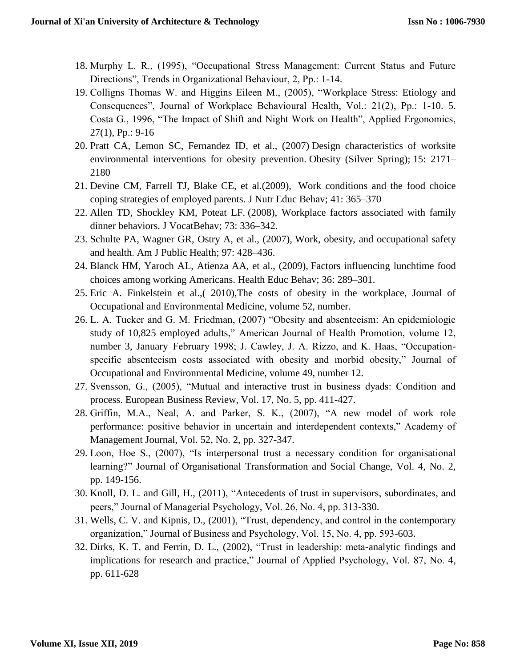- 18. Murphy L. R., (1995), "Occupational Stress Management: Current Status and Future Directions", Trends in Organizational Behaviour, 2, Pp.: 1-14.
- 19. Colligns Thomas W. and Higgins Eileen M., (2005), "Workplace Stress: Etiology and Consequences", Journal of Workplace Behavioural Health, Vol.: 21(2), Pp.: 1-10. 5. Costa G., 1996, "The Impact of Shift and Night Work on Health", Applied Ergonomics, 27(1), Pp.: 9-16
- 20. Pratt CA, Lemon SC, Fernandez ID, et al., (2007) Design characteristics of worksite environmental interventions for obesity prevention. Obesity (Silver Spring); 15: 2171– 2180
- 21. Devine CM, Farrell TJ, Blake CE, et al.(2009), Work conditions and the food choice coping strategies of employed parents. J Nutr Educ Behav; 41: 365–370
- 22. Allen TD, Shockley KM, Poteat LF. (2008), Workplace factors associated with family dinner behaviors. J VocatBehav; 73: 336–342.
- 23. Schulte PA, Wagner GR, Ostry A, et al., (2007), Work, obesity, and occupational safety and health. Am J Public Health; 97: 428–436.
- 24. Blanck HM, Yaroch AL, Atienza AA, et al., (2009), Factors influencing lunchtime food choices among working Americans. Health Educ Behav; 36: 289–301.
- 25. Eric A. Finkelstein et al.,( 2010),The costs of obesity in the workplace, Journal of Occupational and Environmental Medicine, volume 52, number.
- 26. L. A. Tucker and G. M. Friedman, (2007) "Obesity and absenteeism: An epidemiologic study of 10,825 employed adults," American Journal of Health Promotion, volume 12, number 3, January–February 1998; J. Cawley, J. A. Rizzo, and K. Haas, "Occupationspecific absenteeism costs associated with obesity and morbid obesity," Journal of Occupational and Environmental Medicine, volume 49, number 12.
- 27. Svensson, G., (2005), "Mutual and interactive trust in business dyads: Condition and process. European Business Review, Vol. 17, No. 5, pp. 411-427.
- 28. Griffin, M.A., Neal, A. and Parker, S. K., (2007), "A new model of work role performance: positive behavior in uncertain and interdependent contexts," Academy of Management Journal, Vol. 52, No. 2, pp. 327-347.
- 29. Loon, Hoe S., (2007), "Is interpersonal trust a necessary condition for organisational learning?" Journal of Organisational Transformation and Social Change, Vol. 4, No. 2, pp. 149-156.
- 30. Knoll, D. L. and Gill, H., (2011), "Antecedents of trust in supervisors, subordinates, and peers," Journal of Managerial Psychology, Vol. 26, No. 4, pp. 313-330.
- 31. Wells, C. V. and Kipnis, D., (2001), "Trust, dependency, and control in the contemporary organization," Journal of Business and Psychology, Vol. 15, No. 4, pp. 593-603.
- 32. Dirks, K. T. and Ferrin, D. L., (2002), "Trust in leadership: meta-analytic findings and implications for research and practice," Journal of Applied Psychology, Vol. 87, No. 4, pp. 611-628